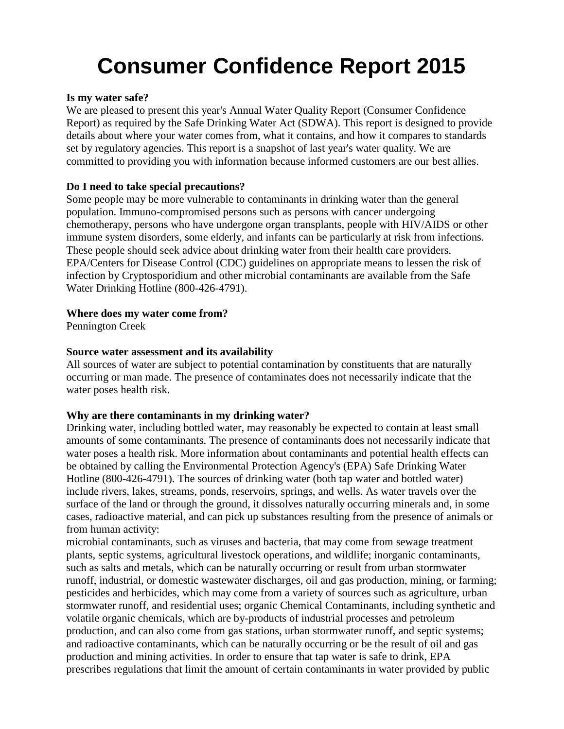# **Consumer Confidence Report 2015**

#### **Is my water safe?**

We are pleased to present this year's Annual Water Quality Report (Consumer Confidence Report) as required by the Safe Drinking Water Act (SDWA). This report is designed to provide details about where your water comes from, what it contains, and how it compares to standards set by regulatory agencies. This report is a snapshot of last year's water quality. We are committed to providing you with information because informed customers are our best allies.

# **Do I need to take special precautions?**

Some people may be more vulnerable to contaminants in drinking water than the general population. Immuno-compromised persons such as persons with cancer undergoing chemotherapy, persons who have undergone organ transplants, people with HIV/AIDS or other immune system disorders, some elderly, and infants can be particularly at risk from infections. These people should seek advice about drinking water from their health care providers. EPA/Centers for Disease Control (CDC) guidelines on appropriate means to lessen the risk of infection by Cryptosporidium and other microbial contaminants are available from the Safe Water Drinking Hotline (800-426-4791).

#### **Where does my water come from?**

Pennington Creek

#### **Source water assessment and its availability**

All sources of water are subject to potential contamination by constituents that are naturally occurring or man made. The presence of contaminates does not necessarily indicate that the water poses health risk.

# **Why are there contaminants in my drinking water?**

Drinking water, including bottled water, may reasonably be expected to contain at least small amounts of some contaminants. The presence of contaminants does not necessarily indicate that water poses a health risk. More information about contaminants and potential health effects can be obtained by calling the Environmental Protection Agency's (EPA) Safe Drinking Water Hotline (800-426-4791). The sources of drinking water (both tap water and bottled water) include rivers, lakes, streams, ponds, reservoirs, springs, and wells. As water travels over the surface of the land or through the ground, it dissolves naturally occurring minerals and, in some cases, radioactive material, and can pick up substances resulting from the presence of animals or from human activity:

microbial contaminants, such as viruses and bacteria, that may come from sewage treatment plants, septic systems, agricultural livestock operations, and wildlife; inorganic contaminants, such as salts and metals, which can be naturally occurring or result from urban stormwater runoff, industrial, or domestic wastewater discharges, oil and gas production, mining, or farming; pesticides and herbicides, which may come from a variety of sources such as agriculture, urban stormwater runoff, and residential uses; organic Chemical Contaminants, including synthetic and volatile organic chemicals, which are by-products of industrial processes and petroleum production, and can also come from gas stations, urban stormwater runoff, and septic systems; and radioactive contaminants, which can be naturally occurring or be the result of oil and gas production and mining activities. In order to ensure that tap water is safe to drink, EPA prescribes regulations that limit the amount of certain contaminants in water provided by public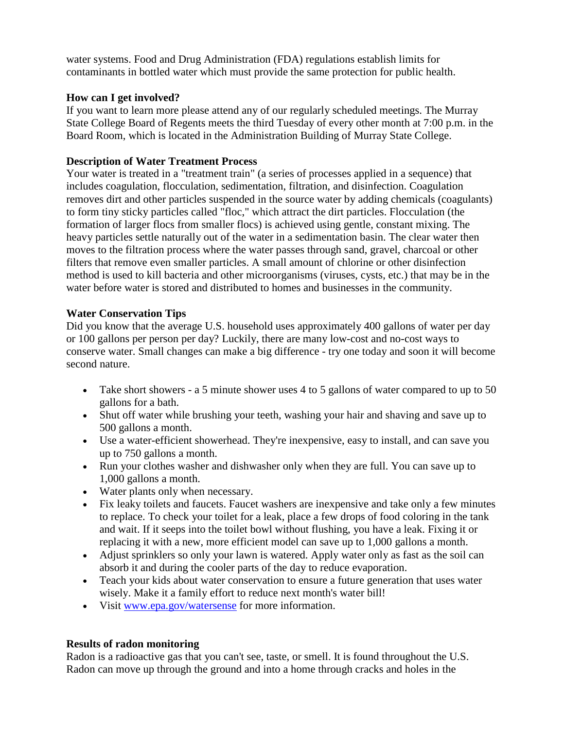water systems. Food and Drug Administration (FDA) regulations establish limits for contaminants in bottled water which must provide the same protection for public health.

### **How can I get involved?**

If you want to learn more please attend any of our regularly scheduled meetings. The Murray State College Board of Regents meets the third Tuesday of every other month at 7:00 p.m. in the Board Room, which is located in the Administration Building of Murray State College.

### **Description of Water Treatment Process**

Your water is treated in a "treatment train" (a series of processes applied in a sequence) that includes coagulation, flocculation, sedimentation, filtration, and disinfection. Coagulation removes dirt and other particles suspended in the source water by adding chemicals (coagulants) to form tiny sticky particles called "floc," which attract the dirt particles. Flocculation (the formation of larger flocs from smaller flocs) is achieved using gentle, constant mixing. The heavy particles settle naturally out of the water in a sedimentation basin. The clear water then moves to the filtration process where the water passes through sand, gravel, charcoal or other filters that remove even smaller particles. A small amount of chlorine or other disinfection method is used to kill bacteria and other microorganisms (viruses, cysts, etc.) that may be in the water before water is stored and distributed to homes and businesses in the community.

#### **Water Conservation Tips**

Did you know that the average U.S. household uses approximately 400 gallons of water per day or 100 gallons per person per day? Luckily, there are many low-cost and no-cost ways to conserve water. Small changes can make a big difference - try one today and soon it will become second nature.

- Take short showers a 5 minute shower uses 4 to 5 gallons of water compared to up to 50 gallons for a bath.
- Shut off water while brushing your teeth, washing your hair and shaving and save up to 500 gallons a month.
- Use a water-efficient showerhead. They're inexpensive, easy to install, and can save you up to 750 gallons a month.
- Run your clothes washer and dishwasher only when they are full. You can save up to 1,000 gallons a month.
- Water plants only when necessary.
- Fix leaky toilets and faucets. Faucet washers are inexpensive and take only a few minutes to replace. To check your toilet for a leak, place a few drops of food coloring in the tank and wait. If it seeps into the toilet bowl without flushing, you have a leak. Fixing it or replacing it with a new, more efficient model can save up to 1,000 gallons a month.
- Adjust sprinklers so only your lawn is watered. Apply water only as fast as the soil can absorb it and during the cooler parts of the day to reduce evaporation.
- Teach your kids about water conservation to ensure a future generation that uses water wisely. Make it a family effort to reduce next month's water bill!
- Visit [www.epa.gov/watersense](http://www.epa.gov/watersense) for more information.

# **Results of radon monitoring**

Radon is a radioactive gas that you can't see, taste, or smell. It is found throughout the U.S. Radon can move up through the ground and into a home through cracks and holes in the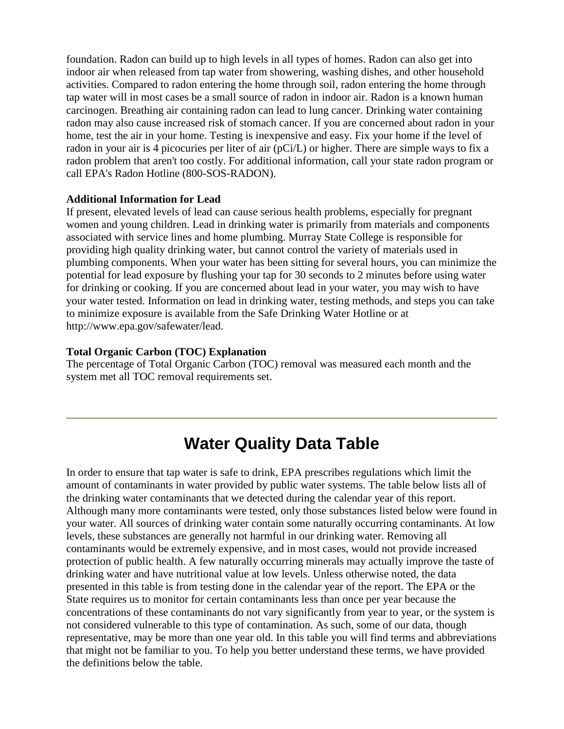foundation. Radon can build up to high levels in all types of homes. Radon can also get into indoor air when released from tap water from showering, washing dishes, and other household activities. Compared to radon entering the home through soil, radon entering the home through tap water will in most cases be a small source of radon in indoor air. Radon is a known human carcinogen. Breathing air containing radon can lead to lung cancer. Drinking water containing radon may also cause increased risk of stomach cancer. If you are concerned about radon in your home, test the air in your home. Testing is inexpensive and easy. Fix your home if the level of radon in your air is 4 picocuries per liter of air (pCi/L) or higher. There are simple ways to fix a radon problem that aren't too costly. For additional information, call your state radon program or call EPA's Radon Hotline (800-SOS-RADON).

#### **Additional Information for Lead**

If present, elevated levels of lead can cause serious health problems, especially for pregnant women and young children. Lead in drinking water is primarily from materials and components associated with service lines and home plumbing. Murray State College is responsible for providing high quality drinking water, but cannot control the variety of materials used in plumbing components. When your water has been sitting for several hours, you can minimize the potential for lead exposure by flushing your tap for 30 seconds to 2 minutes before using water for drinking or cooking. If you are concerned about lead in your water, you may wish to have your water tested. Information on lead in drinking water, testing methods, and steps you can take to minimize exposure is available from the Safe Drinking Water Hotline or at http://www.epa.gov/safewater/lead.

# **Total Organic Carbon (TOC) Explanation**

The percentage of Total Organic Carbon (TOC) removal was measured each month and the system met all TOC removal requirements set.

# **Water Quality Data Table**

In order to ensure that tap water is safe to drink, EPA prescribes regulations which limit the amount of contaminants in water provided by public water systems. The table below lists all of the drinking water contaminants that we detected during the calendar year of this report. Although many more contaminants were tested, only those substances listed below were found in your water. All sources of drinking water contain some naturally occurring contaminants. At low levels, these substances are generally not harmful in our drinking water. Removing all contaminants would be extremely expensive, and in most cases, would not provide increased protection of public health. A few naturally occurring minerals may actually improve the taste of drinking water and have nutritional value at low levels. Unless otherwise noted, the data presented in this table is from testing done in the calendar year of the report. The EPA or the State requires us to monitor for certain contaminants less than once per year because the concentrations of these contaminants do not vary significantly from year to year, or the system is not considered vulnerable to this type of contamination. As such, some of our data, though representative, may be more than one year old. In this table you will find terms and abbreviations that might not be familiar to you. To help you better understand these terms, we have provided the definitions below the table.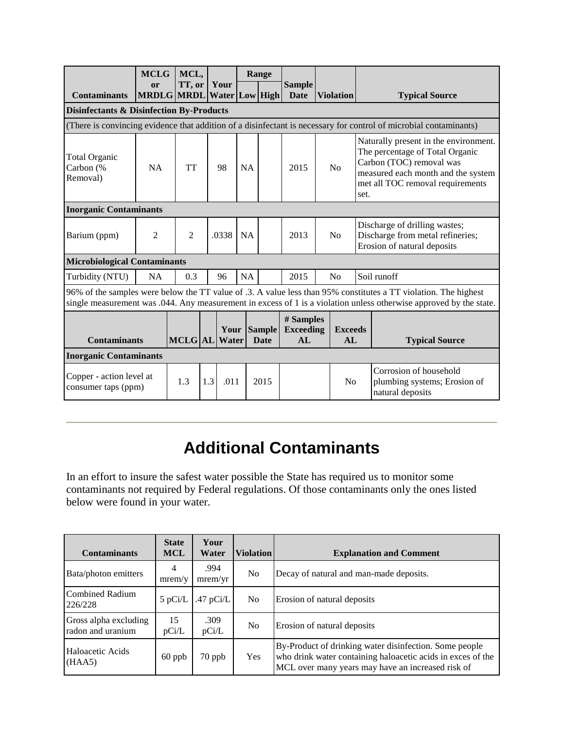|                                                                                                                                                                                                                                       | <b>MCLG</b>                                         | MCL,           |     |                              |           | Range       |                                     |                |                      |      |                                                                                                                                                                                |
|---------------------------------------------------------------------------------------------------------------------------------------------------------------------------------------------------------------------------------------|-----------------------------------------------------|----------------|-----|------------------------------|-----------|-------------|-------------------------------------|----------------|----------------------|------|--------------------------------------------------------------------------------------------------------------------------------------------------------------------------------|
| <b>Contaminants</b>                                                                                                                                                                                                                   | <sub>or</sub><br> MRDLG   MRDL   Water   Low   High | TT, or         |     | Your                         |           |             | <b>Sample</b><br><b>Date</b>        |                | <b>Violation</b>     |      | <b>Typical Source</b>                                                                                                                                                          |
| <b>Disinfectants &amp; Disinfection By-Products</b>                                                                                                                                                                                   |                                                     |                |     |                              |           |             |                                     |                |                      |      |                                                                                                                                                                                |
|                                                                                                                                                                                                                                       |                                                     |                |     |                              |           |             |                                     |                |                      |      | (There is convincing evidence that addition of a disinfectant is necessary for control of microbial contaminants)                                                              |
| <b>Total Organic</b><br>Carbon (%<br>Removal)                                                                                                                                                                                         | <b>NA</b>                                           | <b>TT</b>      |     | 98                           |           | <b>NA</b>   | 2015                                | No             |                      | set. | Naturally present in the environment.<br>The percentage of Total Organic<br>Carbon (TOC) removal was<br>measured each month and the system<br>met all TOC removal requirements |
| <b>Inorganic Contaminants</b>                                                                                                                                                                                                         |                                                     |                |     |                              |           |             |                                     |                |                      |      |                                                                                                                                                                                |
| Barium (ppm)                                                                                                                                                                                                                          | $\overline{2}$                                      | $\overline{2}$ |     | .0338                        | <b>NA</b> |             | 2013                                | N <sub>o</sub> |                      |      | Discharge of drilling wastes;<br>Discharge from metal refineries;<br>Erosion of natural deposits                                                                               |
| <b>Microbiological Contaminants</b>                                                                                                                                                                                                   |                                                     |                |     |                              |           |             |                                     |                |                      |      |                                                                                                                                                                                |
| Turbidity (NTU)                                                                                                                                                                                                                       | <b>NA</b>                                           | 0.3            |     | 96                           | NA        |             | 2015                                |                | No                   |      | Soil runoff                                                                                                                                                                    |
| 96% of the samples were below the TT value of .3. A value less than 95% constitutes a TT violation. The highest<br>single measurement was .044. Any measurement in excess of 1 is a violation unless otherwise approved by the state. |                                                     |                |     |                              |           |             |                                     |                |                      |      |                                                                                                                                                                                |
| <b>Contaminants</b>                                                                                                                                                                                                                   |                                                     |                |     | Your Sample<br>MCLG AL Water |           | <b>Date</b> | # Samples<br><b>Exceeding</b><br>AL |                | <b>Exceeds</b><br>AL |      | <b>Typical Source</b>                                                                                                                                                          |
| <b>Inorganic Contaminants</b>                                                                                                                                                                                                         |                                                     |                |     |                              |           |             |                                     |                |                      |      |                                                                                                                                                                                |
| Copper - action level at<br>consumer taps (ppm)                                                                                                                                                                                       |                                                     | 1.3            | 1.3 | .011                         |           | 2015        |                                     |                | N <sub>o</sub>       |      | Corrosion of household<br>plumbing systems; Erosion of<br>natural deposits                                                                                                     |

# **Additional Contaminants**

In an effort to insure the safest water possible the State has required us to monitor some contaminants not required by Federal regulations. Of those contaminants only the ones listed below were found in your water.

| <b>Contaminants</b>                        | <b>State</b><br><b>MCL</b> | Your<br>Water   | <b>Violation</b> | <b>Explanation and Comment</b>                                                                                                                                             |
|--------------------------------------------|----------------------------|-----------------|------------------|----------------------------------------------------------------------------------------------------------------------------------------------------------------------------|
| Bata/photon emitters                       | 4<br>mrem/v                | .994<br>mrem/yr | N <sub>o</sub>   | Decay of natural and man-made deposits.                                                                                                                                    |
| Combined Radium<br>226/228                 | $5$ pCi/L                  | .47 $pCi/L$     | N <sub>o</sub>   | Erosion of natural deposits                                                                                                                                                |
| Gross alpha excluding<br>radon and uranium | 15<br>pCi/L                | .309<br>pCi/L   | N <sub>0</sub>   | Erosion of natural deposits                                                                                                                                                |
| Haloacetic Acids<br>(HAA5)                 | $60$ ppb                   | 70 ppb          | <b>Yes</b>       | By-Product of drinking water disinfection. Some people<br>who drink water containing haloacetic acids in exces of the<br>MCL over many years may have an increased risk of |